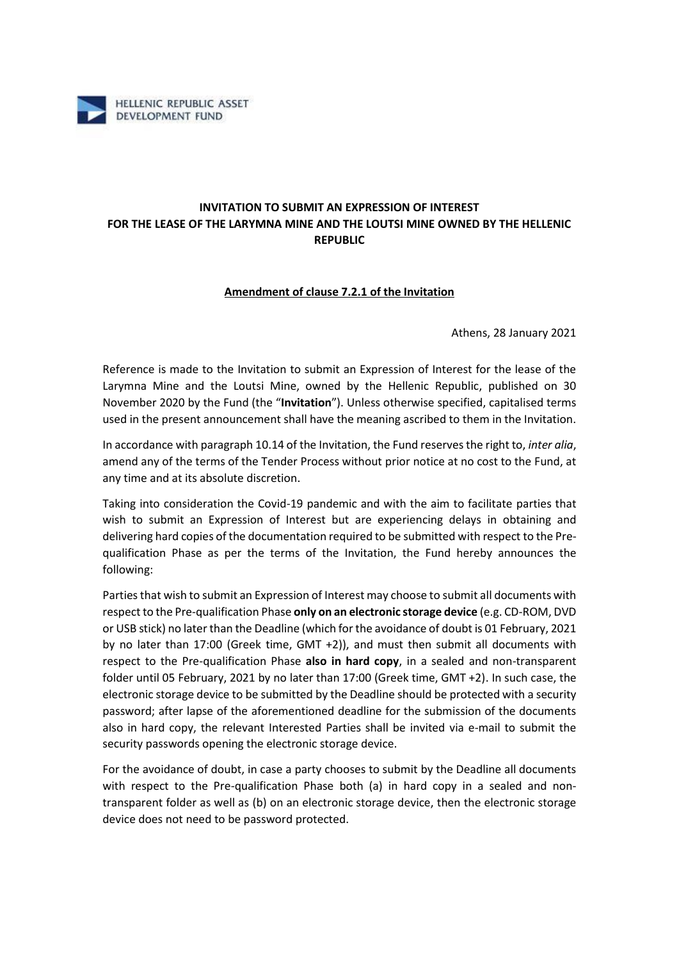

## **INVITATION TO SUBMIT AN EXPRESSION OF INTEREST FOR THE LEASE OF THE LARYMNA MINE AND THE LOUTSI MINE OWNED BY THE HELLENIC REPUBLIC**

## **Amendment of clause 7.2.1 of the Invitation**

Athens, 28 January 2021

Reference is made to the Invitation to submit an Expression of Interest for the lease of the Larymna Mine and the Loutsi Mine, owned by the Hellenic Republic, published on 30 November 2020 by the Fund (the "**Invitation**"). Unless otherwise specified, capitalised terms used in the present announcement shall have the meaning ascribed to them in the Invitation.

In accordance with paragraph 10.14 of the Invitation, the Fund reserves the right to, *inter alia*, amend any of the terms of the Tender Process without prior notice at no cost to the Fund, at any time and at its absolute discretion.

Taking into consideration the Covid-19 pandemic and with the aim to facilitate parties that wish to submit an Expression of Interest but are experiencing delays in obtaining and delivering hard copies of the documentation required to be submitted with respect to the Prequalification Phase as per the terms of the Invitation, the Fund hereby announces the following:

Parties that wish to submit an Expression of Interest may choose to submit all documents with respect to the Pre-qualification Phase **only on an electronic storage device** (e.g. CD-ROM, DVD or USB stick) no later than the Deadline (which for the avoidance of doubt is 01 February, 2021 by no later than 17:00 (Greek time, GMT +2)), and must then submit all documents with respect to the Pre-qualification Phase **also in hard copy**, in a sealed and non-transparent folder until 05 February, 2021 by no later than 17:00 (Greek time, GMT +2). In such case, the electronic storage device to be submitted by the Deadline should be protected with a security password; after lapse of the aforementioned deadline for the submission of the documents also in hard copy, the relevant Interested Parties shall be invited via e-mail to submit the security passwords opening the electronic storage device.

For the avoidance of doubt, in case a party chooses to submit by the Deadline all documents with respect to the Pre-qualification Phase both (a) in hard copy in a sealed and nontransparent folder as well as (b) on an electronic storage device, then the electronic storage device does not need to be password protected.